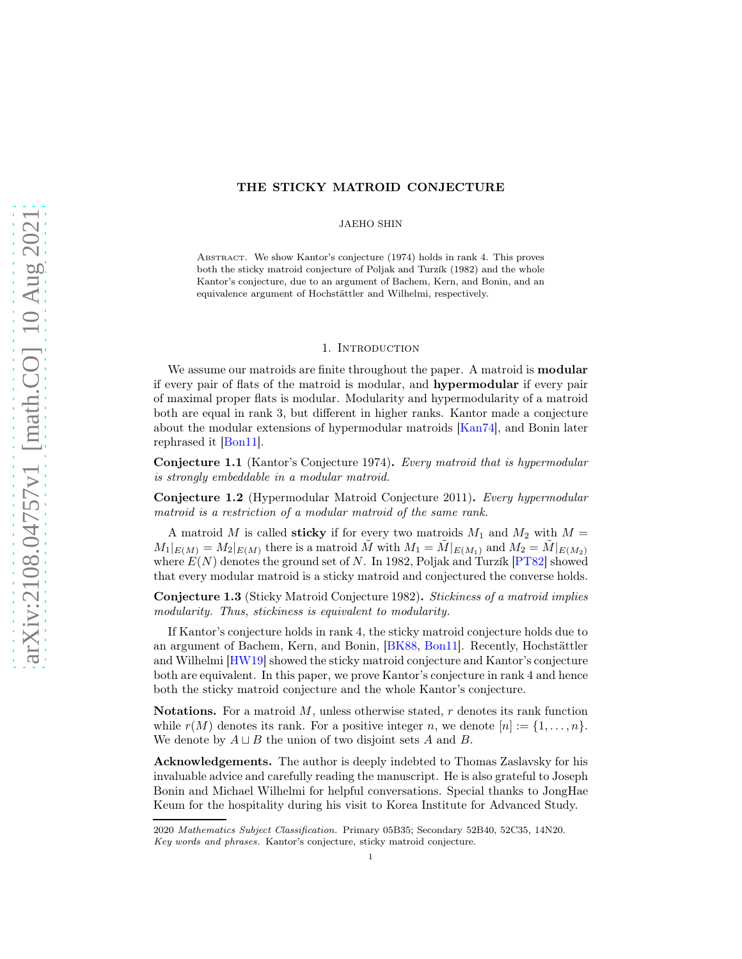## <span id="page-0-0"></span>THE STICKY MATROID CONJECTURE

JAEHO SHIN

Abstract. We show Kantor's conjecture (1974) holds in rank 4. This proves both the sticky matroid conjecture of Poljak and Turzík (1982) and the whole Kantor's conjecture, due to an argument of Bachem, Kern, and Bonin, and an equivalence argument of Hochstättler and Wilhelmi, respectively.

### 1. INTRODUCTION

We assume our matroids are finite throughout the paper. A matroid is **modular** if every pair of flats of the matroid is modular, and hypermodular if every pair of maximal proper flats is modular. Modularity and hypermodularity of a matroid both are equal in rank 3, but different in higher ranks. Kantor made a conjecture about the modular extensions of hypermodular matroids [\[Kan74\]](#page-10-0), and Bonin later rephrased it [\[Bon11\]](#page-10-1).

Conjecture 1.1 (Kantor's Conjecture 1974). Every matroid that is hypermodular is strongly embeddable in a modular matroid.

Conjecture 1.2 (Hypermodular Matroid Conjecture 2011). Every hypermodular matroid is a restriction of a modular matroid of the same rank.

A matroid M is called **sticky** if for every two matroids  $M_1$  and  $M_2$  with  $M =$  $M_1|_{E(M)} = M_2|_{E(M)}$  there is a matroid  $\tilde{M}$  with  $M_1 = \tilde{M}|_{E(M_1)}$  and  $M_2 = \tilde{M}|_{E(M_2)}$ where  $E(N)$  denotes the ground set of N. In 1982, Poljak and Turzík [\[PT82\]](#page-10-2) showed that every modular matroid is a sticky matroid and conjectured the converse holds.

Conjecture 1.3 (Sticky Matroid Conjecture 1982). Stickiness of a matroid implies modularity. Thus, stickiness is equivalent to modularity.

If Kantor's conjecture holds in rank 4, the sticky matroid conjecture holds due to an argument of Bachem, Kern, and Bonin, [\[BK88,](#page-10-3) [Bon11\]](#page-10-1). Recently, Hochstättler and Wilhelmi [\[HW19\]](#page-10-4) showed the sticky matroid conjecture and Kantor's conjecture both are equivalent. In this paper, we prove Kantor's conjecture in rank 4 and hence both the sticky matroid conjecture and the whole Kantor's conjecture.

**Notations.** For a matroid  $M$ , unless otherwise stated,  $r$  denotes its rank function while  $r(M)$  denotes its rank. For a positive integer n, we denote  $[n] := \{1, \ldots, n\}.$ We denote by  $A \sqcup B$  the union of two disjoint sets A and B.

Acknowledgements. The author is deeply indebted to Thomas Zaslavsky for his invaluable advice and carefully reading the manuscript. He is also grateful to Joseph Bonin and Michael Wilhelmi for helpful conversations. Special thanks to JongHae Keum for the hospitality during his visit to Korea Institute for Advanced Study.

<sup>2020</sup> Mathematics Subject Classification. Primary 05B35; Secondary 52B40, 52C35, 14N20. Key words and phrases. Kantor's conjecture, sticky matroid conjecture.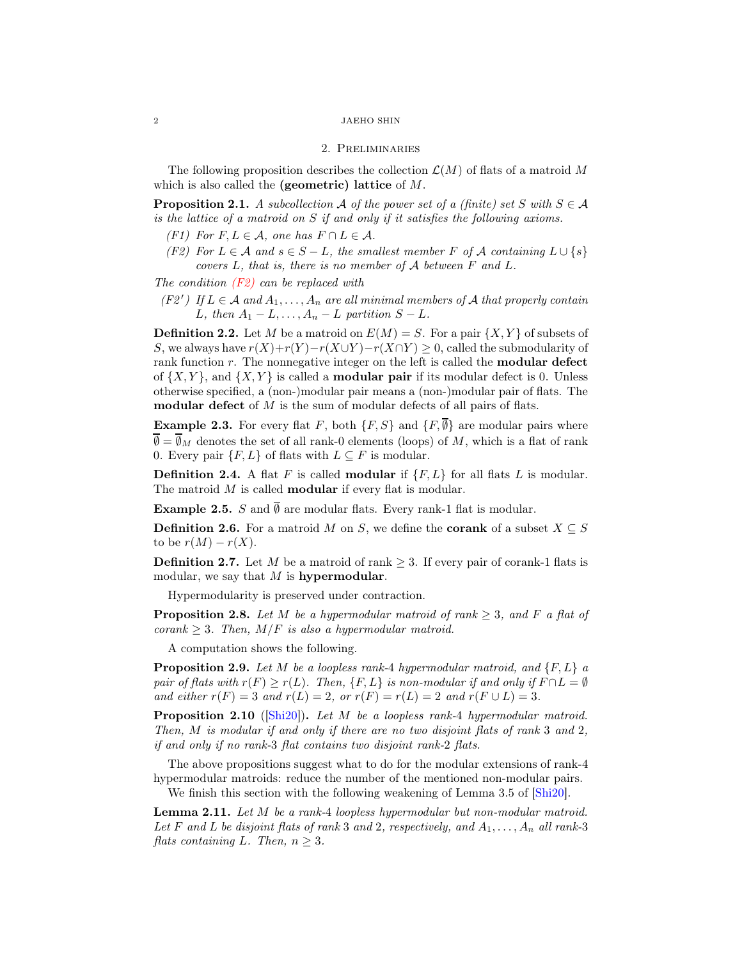### <span id="page-1-6"></span> $\,$  2  $\,$   $\,$  JAEHO SHIN

### 2. Preliminaries

The following proposition describes the collection  $\mathcal{L}(M)$  of flats of a matroid M which is also called the (geometric) lattice of M.

**Proposition 2.1.** A subcollection A of the power set of a (finite) set S with  $S \in \mathcal{A}$ is the lattice of a matroid on S if and only if it satisfies the following axioms.

- <span id="page-1-0"></span> $(F1)$  For  $F, L \in \mathcal{A}$ , one has  $F \cap L \in \mathcal{A}$ .
- (F2) For  $L \in \mathcal{A}$  and  $s \in S L$ , the smallest member F of  $\mathcal{A}$  containing  $L \cup \{s\}$ covers L, that is, there is no member of A between F and L.

<span id="page-1-4"></span>The condition  $(F2)$  can be replaced with

(F2') If  $L \in \mathcal{A}$  and  $A_1, \ldots, A_n$  are all minimal members of  $\mathcal{A}$  that properly contain L, then  $A_1 - L, \ldots, A_n - L$  partition  $S - L$ .

**Definition 2.2.** Let M be a matroid on  $E(M) = S$ . For a pair  $\{X, Y\}$  of subsets of S, we always have  $r(X)+r(Y)-r(X\cup Y)-r(X\cap Y) \geq 0$ , called the submodularity of rank function r. The nonnegative integer on the left is called the **modular defect** of  $\{X, Y\}$ , and  $\{X, Y\}$  is called a **modular pair** if its modular defect is 0. Unless otherwise specified, a (non-)modular pair means a (non-)modular pair of flats. The modular defect of  $M$  is the sum of modular defects of all pairs of flats.

**Example 2.3.** For every flat F, both  $\{F, S\}$  and  $\{F, \overline{\emptyset}\}$  are modular pairs where  $\overline{\emptyset} = \overline{\emptyset}_M$  denotes the set of all rank-0 elements (loops) of M, which is a flat of rank 0. Every pair  $\{F, L\}$  of flats with  $L \subseteq F$  is modular.

**Definition 2.4.** A flat F is called **modular** if  $\{F, L\}$  for all flats L is modular. The matroid M is called **modular** if every flat is modular.

**Example 2.5.** S and  $\overline{\emptyset}$  are modular flats. Every rank-1 flat is modular.

**Definition 2.6.** For a matroid M on S, we define the **corank** of a subset  $X \subseteq S$ to be  $r(M) - r(X)$ .

**Definition 2.7.** Let M be a matroid of rank  $>$  3. If every pair of corank-1 flats is modular, we say that  $M$  is hypermodular.

Hypermodularity is preserved under contraction.

<span id="page-1-5"></span>**Proposition 2.8.** Let M be a hypermodular matroid of rank  $\geq$  3, and F a flat of corank  $\geq 3$ . Then,  $M/F$  is also a hypermodular matroid.

A computation shows the following.

<span id="page-1-2"></span>**Proposition 2.9.** Let M be a loopless rank-4 hypermodular matroid, and  $\{F, L\}$  a pair of flats with  $r(F) \ge r(L)$ . Then,  $\{F, L\}$  is non-modular if and only if  $F \cap L = \emptyset$ and either  $r(F) = 3$  and  $r(L) = 2$ , or  $r(F) = r(L) = 2$  and  $r(F \cup L) = 3$ .

<span id="page-1-1"></span>**Proposition 2.10** ([\[Shi20\]](#page-10-5)). Let M be a loopless rank-4 hypermodular matroid. Then, M is modular if and only if there are no two disjoint flats of rank 3 and 2, if and only if no rank-3 flat contains two disjoint rank-2 flats.

The above propositions suggest what to do for the modular extensions of rank-4 hypermodular matroids: reduce the number of the mentioned non-modular pairs. We finish this section with the following weakening of Lemma 3.5 of  $\left[\text{Shi20}\right]$ .

<span id="page-1-3"></span>Lemma 2.11. Let M be a rank-4 loopless hypermodular but non-modular matroid. Let F and L be disjoint flats of rank 3 and 2, respectively, and  $A_1, \ldots, A_n$  all rank-3 flats containing L. Then,  $n \geq 3$ .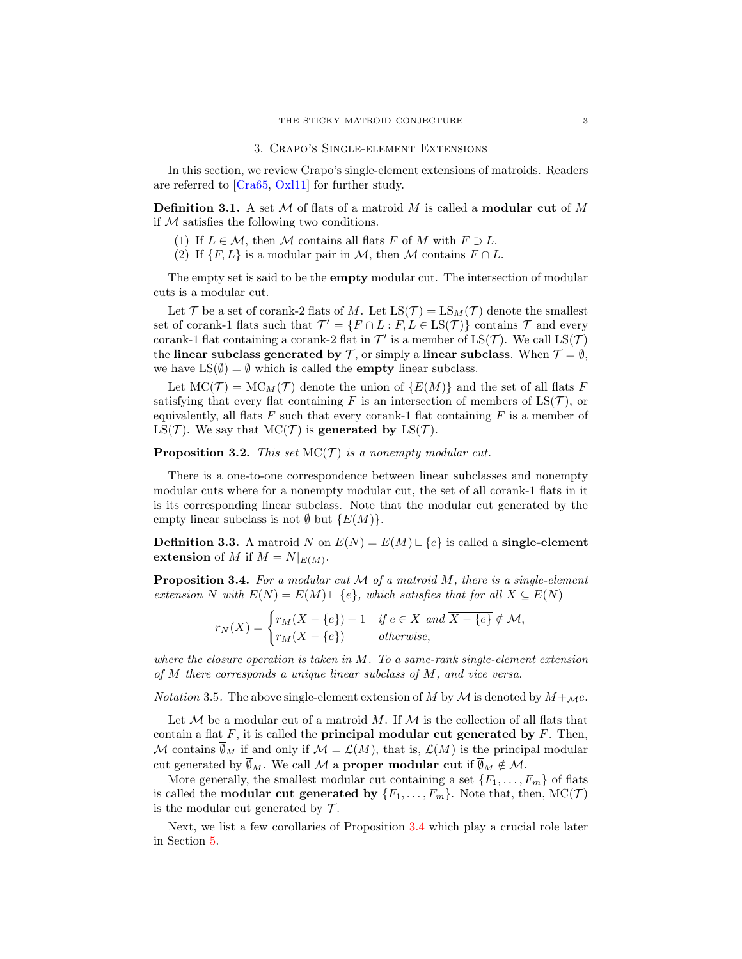#### 3. Crapo's Single-element Extensions

<span id="page-2-1"></span>In this section, we review Crapo's single-element extensions of matroids. Readers are referred to [\[Cra65,](#page-10-6) [Oxl11\]](#page-10-7) for further study.

**Definition 3.1.** A set M of flats of a matroid M is called a **modular cut** of M if  $M$  satisfies the following two conditions.

- (1) If  $L \in \mathcal{M}$ , then M contains all flats F of M with  $F \supset L$ .
- (2) If  $\{F, L\}$  is a modular pair in M, then M contains  $F \cap L$ .

The empty set is said to be the **empty** modular cut. The intersection of modular cuts is a modular cut.

Let T be a set of corank-2 flats of M. Let  $LS(\mathcal{T}) = LS_M(\mathcal{T})$  denote the smallest set of corank-1 flats such that  $\mathcal{T}' = \{F \cap L : F, L \in \text{LS}(\mathcal{T})\}$  contains  $\mathcal{T}$  and every corank-1 flat containing a corank-2 flat in  $\mathcal{T}'$  is a member of  $LS(\mathcal{T})$ . We call  $LS(\mathcal{T})$ the linear subclass generated by T, or simply a linear subclass. When  $\mathcal{T} = \emptyset$ , we have  $LS(\emptyset) = \emptyset$  which is called the **empty** linear subclass.

Let  $MC(\mathcal{T}) = MC_M(\mathcal{T})$  denote the union of  $\{E(M)\}\$ and the set of all flats F satisfying that every flat containing F is an intersection of members of  $LS(\mathcal{T})$ , or equivalently, all flats  $F$  such that every corank-1 flat containing  $F$  is a member of LS(T). We say that  $MC(\mathcal{T})$  is generated by LS(T).

## **Proposition 3.2.** This set  $MC(\mathcal{T})$  is a nonempty modular cut.

There is a one-to-one correspondence between linear subclasses and nonempty modular cuts where for a nonempty modular cut, the set of all corank-1 flats in it is its corresponding linear subclass. Note that the modular cut generated by the empty linear subclass is not  $\emptyset$  but  $\{E(M)\}.$ 

**Definition 3.3.** A matroid N on  $E(N) = E(M) \sqcup \{e\}$  is called a **single-element** extension of M if  $M = N|_{E(M)}$ .

<span id="page-2-0"></span>**Proposition 3.4.** For a modular cut  $M$  of a matroid  $M$ , there is a single-element extension N with  $E(N) = E(M) \sqcup \{e\}$ , which satisfies that for all  $X \subseteq E(N)$ 

$$
r_N(X) = \begin{cases} r_M(X - \{e\}) + 1 & \text{if } e \in X \text{ and } \overline{X - \{e\}} \notin \mathcal{M}, \\ r_M(X - \{e\}) & \text{otherwise,} \end{cases}
$$

where the closure operation is taken in  $M$ . To a same-rank single-element extension of M there corresponds a unique linear subclass of M, and vice versa.

*Notation* 3.5. The above single-element extension of M by M is denoted by  $M +_{\mathcal{M}}e$ .

Let  $M$  be a modular cut of a matroid M. If  $M$  is the collection of all flats that contain a flat  $F$ , it is called the **principal modular cut generated by**  $F$ . Then, M contains  $\overline{\emptyset}_M$  if and only if  $\mathcal{M} = \mathcal{L}(M)$ , that is,  $\mathcal{L}(M)$  is the principal modular cut generated by  $\overline{\emptyset}_M$ . We call M a **proper modular cut** if  $\overline{\emptyset}_M \notin \mathcal{M}$ .

More generally, the smallest modular cut containing a set  $\{F_1, \ldots, F_m\}$  of flats is called the **modular cut generated by**  $\{F_1, \ldots, F_m\}$ . Note that, then,  $MC(\mathcal{T})$ is the modular cut generated by  $\mathcal{T}$ .

Next, we list a few corollaries of Proposition [3.4](#page-2-0) which play a crucial role later in Section [5.](#page-5-0)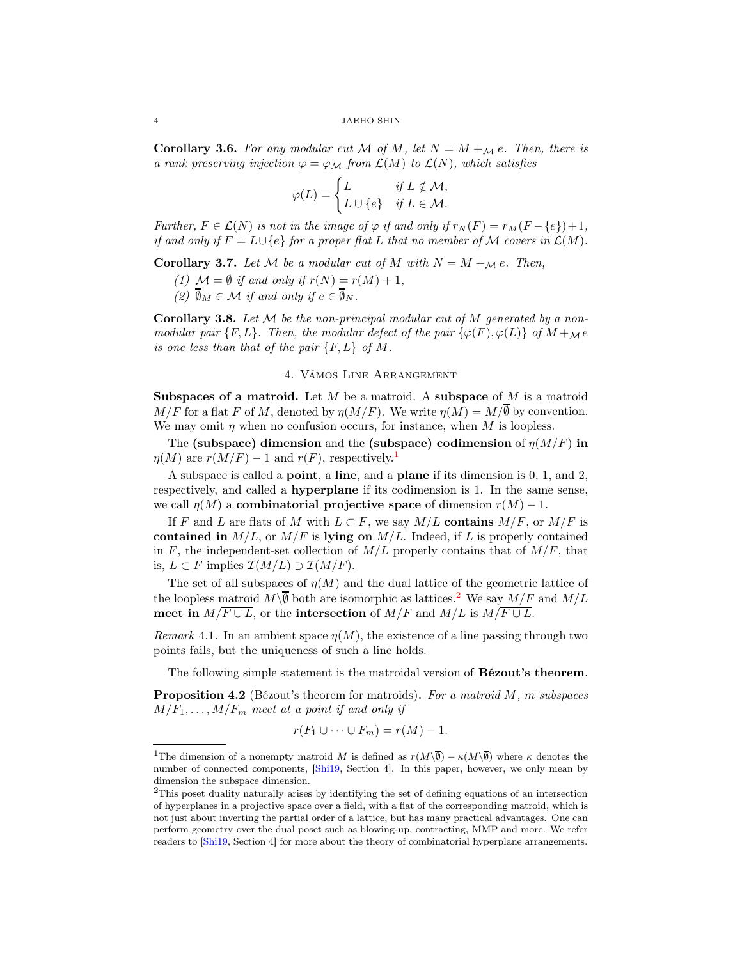<span id="page-3-5"></span><span id="page-3-3"></span>**Corollary 3.6.** For any modular cut M of M, let  $N = M +_{\mathcal{M}} e$ . Then, there is a rank preserving injection  $\varphi = \varphi_{\mathcal{M}}$  from  $\mathcal{L}(M)$  to  $\mathcal{L}(N)$ , which satisfies

$$
\varphi(L) = \begin{cases} L & \text{if } L \notin \mathcal{M}, \\ L \cup \{e\} & \text{if } L \in \mathcal{M}. \end{cases}
$$

Further,  $F \in \mathcal{L}(N)$  is not in the image of  $\varphi$  if and only if  $r_N(F) = r_M(F - \{e\}) + 1$ , if and only if  $F = L \cup \{e\}$  for a proper flat L that no member of M covers in  $\mathcal{L}(M)$ .

<span id="page-3-2"></span>**Corollary 3.7.** Let M be a modular cut of M with  $N = M +_{\mathcal{M}} e$ . Then,

- (1)  $\mathcal{M} = \emptyset$  if and only if  $r(N) = r(M) + 1$ ,
- (2)  $\overline{\emptyset}_M \in \mathcal{M}$  if and only if  $e \in \overline{\emptyset}_N$ .

<span id="page-3-4"></span>**Corollary 3.8.** Let  $M$  be the non-principal modular cut of  $M$  generated by a nonmodular pair  $\{F, L\}$ . Then, the modular defect of the pair  $\{\varphi(F), \varphi(L)\}\$  of  $M +_{\mathcal{M}} e$ is one less than that of the pair  $\{F, L\}$  of M.

# 4. Vámos Line Arrangement

**Subspaces of a matroid.** Let M be a matroid. A subspace of M is a matroid  $M/F$  for a flat F of M, denoted by  $\eta(M/F)$ . We write  $\eta(M) = M/\overline{\emptyset}$  by convention. We may omit  $\eta$  when no confusion occurs, for instance, when M is loopless.

The (subspace) dimension and the (subspace) codimension of  $\eta(M/F)$  in  $\eta(M)$  are  $r(M/F) - 1$  $r(M/F) - 1$  and  $r(F)$ , respectively.<sup>1</sup>

A subspace is called a point, a line, and a plane if its dimension is 0, 1, and 2, respectively, and called a hyperplane if its codimension is 1. In the same sense, we call  $\eta(M)$  a **combinatorial projective space** of dimension  $r(M) - 1$ .

If F and L are flats of M with  $L \subset F$ , we say  $M/L$  contains  $M/F$ , or  $M/F$  is contained in  $M/L$ , or  $M/F$  is lying on  $M/L$ . Indeed, if L is properly contained in F, the independent-set collection of  $M/L$  properly contains that of  $M/F$ , that is,  $L \subset F$  implies  $\mathcal{I}(M/L) \supset \mathcal{I}(M/F)$ .

The set of all subspaces of  $\eta(M)$  and the dual lattice of the geometric lattice of the loopless matroid  $M\backslash\overline{\emptyset}$  both are isomorphic as lattices.<sup>[2](#page-3-1)</sup> We say  $M/F$  and  $M/L$ meet in  $M/\overline{F \cup L}$ , or the intersection of  $M/F$  and  $M/L$  is  $M/\overline{F \cup L}$ .

Remark 4.1. In an ambient space  $\eta(M)$ , the existence of a line passing through two points fails, but the uniqueness of such a line holds.

The following simple statement is the matroidal version of **Bézout's theorem**.

**Proposition 4.2** (Bézout's theorem for matroids). For a matroid  $M$ , m subspaces  $M/F_1, \ldots, M/F_m$  meet at a point if and only if

$$
r(F_1 \cup \cdots \cup F_m) = r(M) - 1.
$$

<span id="page-3-0"></span><sup>&</sup>lt;sup>1</sup>The dimension of a nonempty matroid M is defined as  $r(M\setminus\overline{\emptyset}) - \kappa(M\setminus\overline{\emptyset})$  where  $\kappa$  denotes the number of connected components, [\[Shi19,](#page-10-8) Section 4]. In this paper, however, we only mean by dimension the subspace dimension.

<span id="page-3-1"></span><sup>2</sup>This poset duality naturally arises by identifying the set of defining equations of an intersection of hyperplanes in a projective space over a field, with a flat of the corresponding matroid, which is not just about inverting the partial order of a lattice, but has many practical advantages. One can perform geometry over the dual poset such as blowing-up, contracting, MMP and more. We refer readers to [\[Shi19,](#page-10-8) Section 4] for more about the theory of combinatorial hyperplane arrangements.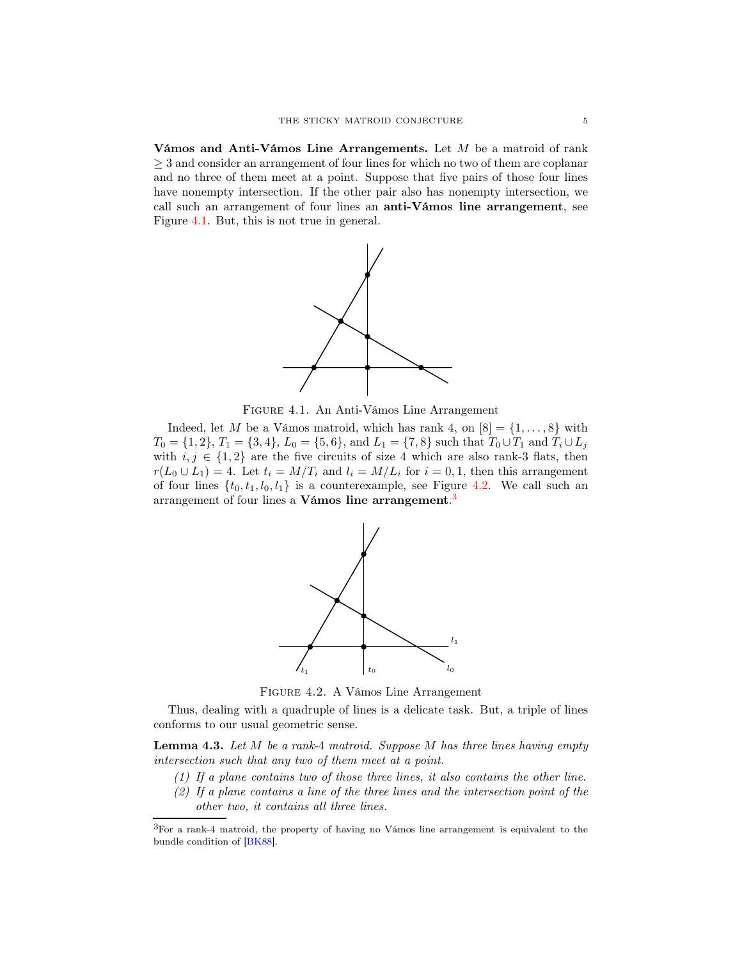<span id="page-4-4"></span>Vámos and Anti-Vámos Line Arrangements. Let M be a matroid of rank  $\geq 3$  and consider an arrangement of four lines for which no two of them are coplanar and no three of them meet at a point. Suppose that five pairs of those four lines have nonempty intersection. If the other pair also has nonempty intersection, we call such an arrangement of four lines an anti-Vámos line arrangement, see Figure [4.1.](#page-4-0) But, this is not true in general.



<span id="page-4-0"></span>Figure 4.1. An Anti-Vámos Line Arrangement

Indeed, let M be a Vámos matroid, which has rank 4, on  $[8] = \{1, \ldots, 8\}$  with  $T_0 = \{1, 2\}, T_1 = \{3, 4\}, L_0 = \{5, 6\}, \text{ and } L_1 = \{7, 8\} \text{ such that } T_0 \cup T_1 \text{ and } T_i \cup L_j$ with  $i, j \in \{1, 2\}$  are the five circuits of size 4 which are also rank-3 flats, then  $r(L_0 \cup L_1) = 4$ . Let  $t_i = M/T_i$  and  $l_i = M/L_i$  for  $i = 0, 1$ , then this arrangement of four lines  $\{t_0, t_1, l_0, l_1\}$  is a counterexample, see Figure [4.2.](#page-4-1) We call such an arrangement of four lines a Vámos line arrangement.<sup>[3](#page-4-2)</sup>



<span id="page-4-1"></span>Figure 4.2. A Vámos Line Arrangement

Thus, dealing with a quadruple of lines is a delicate task. But, a triple of lines conforms to our usual geometric sense.

<span id="page-4-3"></span>**Lemma 4.3.** Let  $M$  be a rank-4 matroid. Suppose  $M$  has three lines having empty intersection such that any two of them meet at a point.

- (1) If a plane contains two of those three lines, it also contains the other line.
- (2) If a plane contains a line of the three lines and the intersection point of the other two, it contains all three lines.

<span id="page-4-2"></span><sup>3</sup>For a rank-<sup>4</sup> matroid, the property of having no Vámos line arrangement is equivalent to the bundle condition of [\[BK88\]](#page-10-3).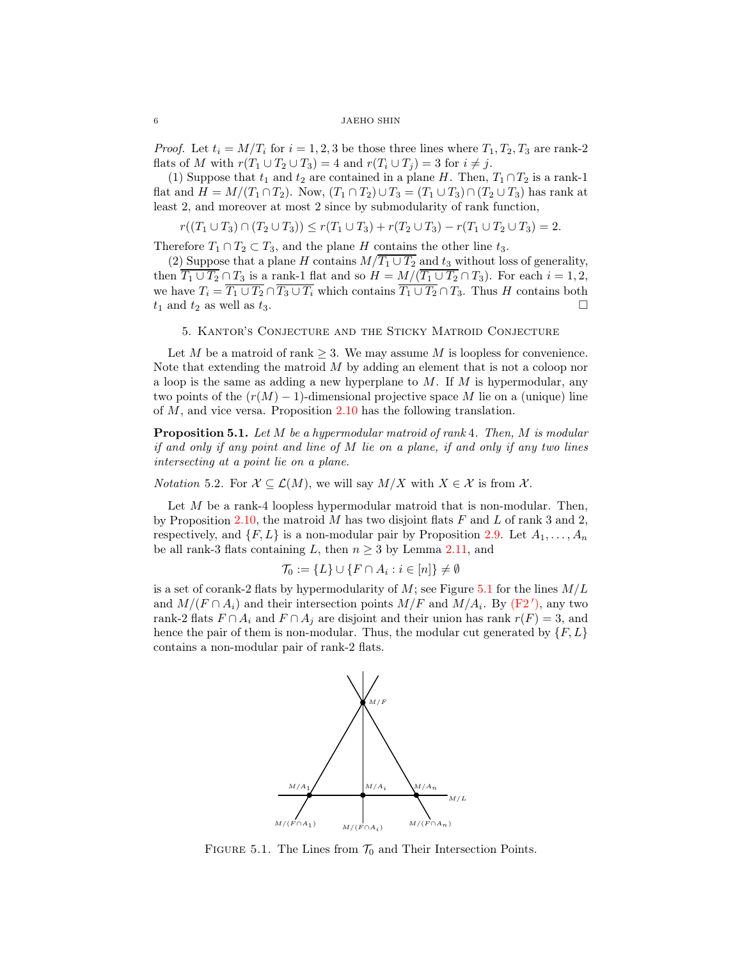### $6$  JAEHO SHIN

*Proof.* Let  $t_i = M/T_i$  for  $i = 1, 2, 3$  be those three lines where  $T_1, T_2, T_3$  are rank-2 flats of M with  $r(T_1 \cup T_2 \cup T_3) = 4$  and  $r(T_i \cup T_j) = 3$  for  $i \neq j$ .

(1) Suppose that  $t_1$  and  $t_2$  are contained in a plane H. Then,  $T_1 \cap T_2$  is a rank-1 flat and  $H = M/(T_1 \cap T_2)$ . Now,  $(T_1 \cap T_2) \cup T_3 = (T_1 \cup T_3) \cap (T_2 \cup T_3)$  has rank at least 2, and moreover at most 2 since by submodularity of rank function,

$$
r((T_1 \cup T_3) \cap (T_2 \cup T_3)) \le r(T_1 \cup T_3) + r(T_2 \cup T_3) - r(T_1 \cup T_2 \cup T_3) = 2.
$$

Therefore  $T_1 \cap T_2 \subset T_3$ , and the plane H contains the other line  $t_3$ .

(2) Suppose that a plane H contains  $M/T_1 \cup T_2$  and  $t_3$  without loss of generality, then  $\overline{T_1 \cup T_2} \cap T_3$  is a rank-1 flat and so  $H = M/(\overline{T_1 \cup T_2} \cap T_3)$ . For each  $i = 1, 2$ , we have  $T_i = \overline{T_1 \cup T_2} \cap \overline{T_3 \cup T_i}$  which contains  $\overline{T_1 \cup T_2} \cap T_3$ . Thus H contains both  $t_1$  and  $t_2$  as well as  $t_3$ .

## <span id="page-5-0"></span>5. Kantor's Conjecture and the Sticky Matroid Conjecture

Let M be a matroid of rank  $\geq 3$ . We may assume M is loopless for convenience. Note that extending the matroid M by adding an element that is not a coloop nor a loop is the same as adding a new hyperplane to  $M$ . If  $M$  is hypermodular, any two points of the  $(r(M) - 1)$ -dimensional projective space M lie on a (unique) line of  $M$ , and vice versa. Proposition  $2.10$  has the following translation.

**Proposition 5.1.** Let  $M$  be a hypermodular matroid of rank 4. Then,  $M$  is modular if and only if any point and line of  $M$  lie on a plane, if and only if any two lines intersecting at a point lie on a plane.

*Notation* 5.2. For  $X \subseteq \mathcal{L}(M)$ , we will say  $M/X$  with  $X \in \mathcal{X}$  is from  $\mathcal{X}$ .

Let  $M$  be a rank-4 loopless hypermodular matroid that is non-modular. Then, by Proposition [2.10,](#page-1-1) the matroid M has two disjoint flats  $F$  and  $L$  of rank 3 and 2, respectively, and  $\{F, L\}$  is a non-modular pair by Proposition [2.9.](#page-1-2) Let  $A_1, \ldots, A_n$ be all rank-3 flats containing L, then  $n \geq 3$  by Lemma [2.11,](#page-1-3) and

$$
\mathcal{T}_0 := \{ L \} \cup \{ F \cap A_i : i \in [n] \} \neq \emptyset
$$

is a set of corank-2 flats by hypermodularity of  $M$ ; see Figure [5.1](#page-5-1) for the lines  $M/L$ and  $M/(F \cap A_i)$  and their intersection points  $M/F$  and  $M/A_i$ . By [\(F2](#page-1-4)'), any two rank-2 flats  $F \cap A_i$  and  $F \cap A_j$  are disjoint and their union has rank  $r(F) = 3$ , and hence the pair of them is non-modular. Thus, the modular cut generated by  ${F, L}$ contains a non-modular pair of rank-2 flats.



<span id="page-5-1"></span>FIGURE 5.1. The Lines from  $\mathcal{T}_0$  and Their Intersection Points.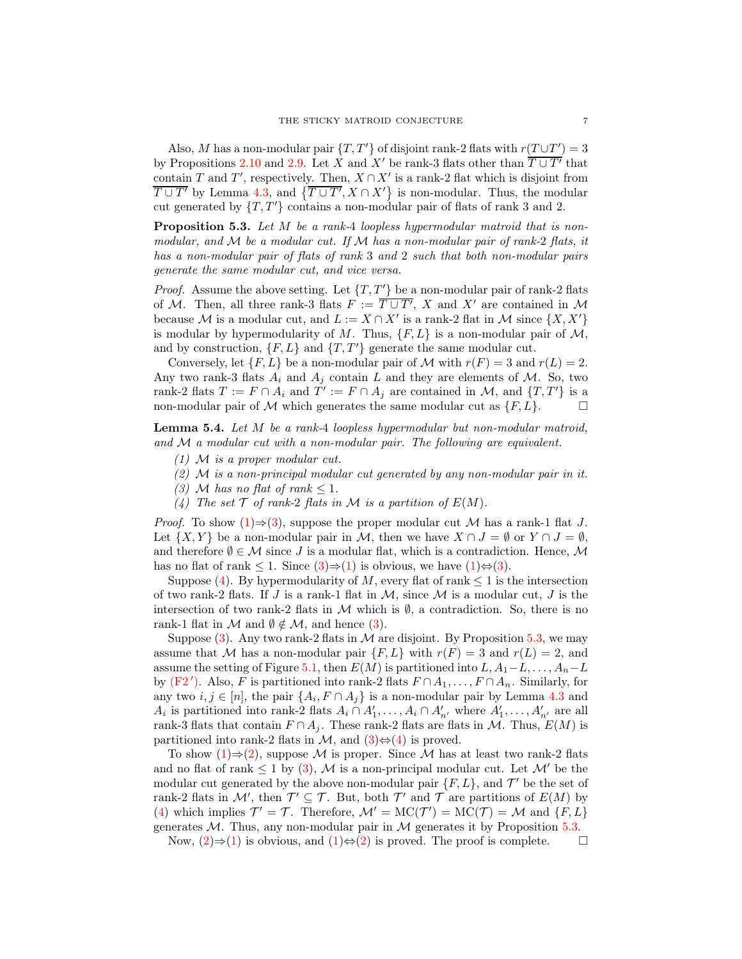Also, M has a non-modular pair  $\{T, T'\}$  of disjoint rank-2 flats with  $r(T \cup T') = 3$ by Propositions [2.10](#page-1-1) and [2.9.](#page-1-2) Let X and X' be rank-3 flats other than  $\overline{T \cup T'}$  that contain T and T', respectively. Then,  $X \cap X'$  is a rank-2 flat which is disjoint from  $\overline{T \cup T'}$  by Lemma [4.3,](#page-4-3) and  $\{\overline{T \cup T'}, X \cap X'\}$  is non-modular. Thus, the modular cut generated by  $\{T, T'\}$  contains a non-modular pair of flats of rank 3 and 2.

<span id="page-6-3"></span>Proposition 5.3. Let M be a rank-4 loopless hypermodular matroid that is nonmodular, and  $M$  be a modular cut. If  $M$  has a non-modular pair of rank-2 flats, it has a non-modular pair of flats of rank 3 and 2 such that both non-modular pairs generate the same modular cut, and vice versa.

*Proof.* Assume the above setting. Let  $\{T, T'\}$  be a non-modular pair of rank-2 flats of M. Then, all three rank-3 flats  $F := \overline{T \cup T'}$ , X and X' are contained in M because M is a modular cut, and  $L := X \cap X'$  is a rank-2 flat in M since  $\{X, X'\}$ is modular by hypermodularity of M. Thus,  $\{F, L\}$  is a non-modular pair of  $M$ , and by construction,  $\{F, L\}$  and  $\{T, T'\}$  generate the same modular cut.

Conversely, let  $\{F, L\}$  be a non-modular pair of M with  $r(F) = 3$  and  $r(L) = 2$ . Any two rank-3 flats  $A_i$  and  $A_j$  contain L and they are elements of M. So, two rank-2 flats  $T := F \cap A_i$  and  $T' := F \cap A_j$  are contained in M, and  $\{T, T'\}$  is a non-modular pair of M which generates the same modular cut as  $\{F, L\}.$ 

<span id="page-6-5"></span><span id="page-6-0"></span>Lemma 5.4. Let M be a rank-4 loopless hypermodular but non-modular matroid, and M a modular cut with a non-modular pair. The following are equivalent.

- <span id="page-6-4"></span> $(1)$  M is a proper modular cut.
- <span id="page-6-1"></span> $(2)$  M is a non-principal modular cut generated by any non-modular pair in it.
- <span id="page-6-2"></span>(3) M has no flat of rank  $\leq 1$ .
- (4) The set  $\mathcal T$  of rank-2 flats in  $\mathcal M$  is a partition of  $E(M)$ .

*Proof.* To show  $(1) \Rightarrow (3)$  $(1) \Rightarrow (3)$ , suppose the proper modular cut M has a rank-1 flat J. Let  $\{X, Y\}$  be a non-modular pair in M, then we have  $X \cap J = \emptyset$  or  $Y \cap J = \emptyset$ , and therefore  $\emptyset \in \mathcal{M}$  since J is a modular flat, which is a contradiction. Hence,  $\mathcal{M}$ has no flat of rank  $\leq 1$ . Since  $(3) \Rightarrow (1)$  $(3) \Rightarrow (1)$  is obvious, we have  $(1) \Leftrightarrow (3)$  $(1) \Leftrightarrow (3)$ .

Suppose [\(4\)](#page-6-2). By hypermodularity of M, every flat of rank  $\leq 1$  is the intersection of two rank-2 flats. If J is a rank-1 flat in  $M$ , since  $M$  is a modular cut, J is the intersection of two rank-2 flats in  $\mathcal M$  which is  $\emptyset$ , a contradiction. So, there is no rank-1 flat in  $\mathcal M$  and  $\emptyset \notin \mathcal M$ , and hence [\(3\)](#page-6-1).

Suppose  $(3)$ . Any two rank-2 flats in M are disjoint. By Proposition [5.3,](#page-6-3) we may assume that M has a non-modular pair  $\{F, L\}$  with  $r(F) = 3$  and  $r(L) = 2$ , and assume the setting of Figure [5.1,](#page-5-1) then  $E(M)$  is partitioned into  $L, A_1-L, \ldots, A_n-L$ by [\(F2](#page-1-4)'). Also, F is partitioned into rank-2 flats  $F \cap A_1, \ldots, F \cap A_n$ . Similarly, for any two  $i, j \in [n]$ , the pair  $\{A_i, F \cap A_j\}$  is a non-modular pair by Lemma [4.3](#page-4-3) and  $A_i$  is partitioned into rank-2 flats  $A_i \cap A'_1, \ldots, A_i \cap A'_{n'}$  where  $A'_1, \ldots, A'_{n'}$  are all rank-3 flats that contain  $F \cap A_j$ . These rank-2 flats are flats in M. Thus,  $E(M)$  is partitioned into rank-2 flats in  $\mathcal{M}$ , and  $(3) \Leftrightarrow (4)$  $(3) \Leftrightarrow (4)$  is proved.

To show  $(1) \Rightarrow (2)$  $(1) \Rightarrow (2)$ , suppose M is proper. Since M has at least two rank-2 flats and no flat of rank  $\leq 1$  by [\(3\)](#page-6-1), M is a non-principal modular cut. Let  $\mathcal{M}'$  be the modular cut generated by the above non-modular pair  $\{F, L\}$ , and  $\mathcal{T}'$  be the set of rank-2 flats in  $\mathcal{M}'$ , then  $\mathcal{T}' \subseteq \mathcal{T}$ . But, both  $\mathcal{T}'$  and  $\mathcal{T}$  are partitions of  $E(M)$  by [\(4\)](#page-6-2) which implies  $\mathcal{T}' = \mathcal{T}$ . Therefore,  $\mathcal{M}' = \text{MC}(\mathcal{T}') = \text{MC}(\mathcal{T}) = \mathcal{M}$  and  $\{F, L\}$ generates  $M$ . Thus, any non-modular pair in  $M$  generates it by Proposition [5.3.](#page-6-3)

Now,  $(2) \Rightarrow (1)$  $(2) \Rightarrow (1)$  is obvious, and  $(1) \Leftrightarrow (2)$  $(1) \Leftrightarrow (2)$  is proved. The proof is complete.  $\Box$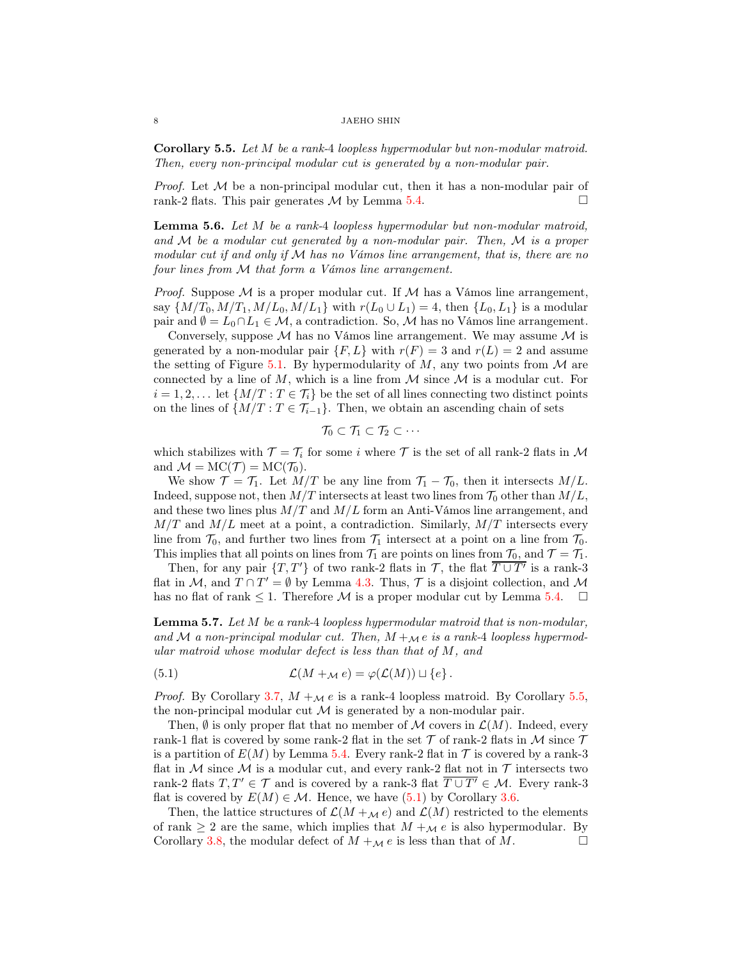#### 8 JAEHO SHIN

<span id="page-7-0"></span>Corollary 5.5. Let M be a rank-4 loopless hypermodular but non-modular matroid. Then, every non-principal modular cut is generated by a non-modular pair.

*Proof.* Let  $M$  be a non-principal modular cut, then it has a non-modular pair of rank-2 flats. This pair generates  $M$  by Lemma [5.4.](#page-6-5)

<span id="page-7-2"></span>Lemma 5.6. Let M be a rank-4 loopless hypermodular but non-modular matroid, and  $M$  be a modular cut generated by a non-modular pair. Then,  $M$  is a proper modular cut if and only if  $M$  has no Vámos line arrangement, that is, there are no four lines from M that form a Vámos line arrangement.

*Proof.* Suppose  $M$  is a proper modular cut. If  $M$  has a Vámos line arrangement, say  $\{M/T_0, M/T_1, M/L_0, M/L_1\}$  with  $r(L_0 \cup L_1) = 4$ , then  $\{L_0, L_1\}$  is a modular pair and  $\emptyset = L_0 \cap L_1 \in \mathcal{M}$ , a contradiction. So, M has no Vámos line arrangement.

Conversely, suppose  $\mathcal M$  has no Vámos line arrangement. We may assume  $\mathcal M$  is generated by a non-modular pair  $\{F, L\}$  with  $r(F) = 3$  and  $r(L) = 2$  and assume the setting of Figure [5.1.](#page-5-1) By hypermodularity of  $M$ , any two points from  $M$  are connected by a line of M, which is a line from  $M$  since  $M$  is a modular cut. For  $i = 1, 2, \ldots$  let  $\{M/T : T \in \mathcal{T}_i\}$  be the set of all lines connecting two distinct points on the lines of  $\{M/T : T \in \mathcal{T}_{i-1}\}.$  Then, we obtain an ascending chain of sets

$$
\mathcal{T}_0\subset \mathcal{T}_1\subset \mathcal{T}_2\subset \cdots
$$

which stabilizes with  $\mathcal{T} = \mathcal{T}_i$  for some i where  $\mathcal{T}$  is the set of all rank-2 flats in M and  $\mathcal{M} = \text{MC}(\mathcal{T}) = \text{MC}(\mathcal{T}_0)$ .

We show  $\mathcal{T} = \mathcal{T}_1$ . Let  $M/T$  be any line from  $\mathcal{T}_1 - \mathcal{T}_0$ , then it intersects  $M/L$ . Indeed, suppose not, then  $M/T$  intersects at least two lines from  $\mathcal{T}_0$  other than  $M/L$ , and these two lines plus  $M/T$  and  $M/L$  form an Anti-Vámos line arrangement, and  $M/T$  and  $M/L$  meet at a point, a contradiction. Similarly,  $M/T$  intersects every line from  $\mathcal{T}_0$ , and further two lines from  $\mathcal{T}_1$  intersect at a point on a line from  $\mathcal{T}_0$ . This implies that all points on lines from  $\mathcal{T}_1$  are points on lines from  $\mathcal{T}_0$ , and  $\mathcal{T} = \mathcal{T}_1$ .

Then, for any pair  $\{T, T'\}$  of two rank-2 flats in  $\mathcal{T}$ , the flat  $\overline{T \cup T'}$  is a rank-3 flat in M, and  $T \cap T' = \emptyset$  by Lemma [4.3.](#page-4-3) Thus,  $\mathcal T$  is a disjoint collection, and M has no flat of rank  $\leq 1$ . Therefore M is a proper modular cut by Lemma [5.4.](#page-6-5)  $\Box$ 

<span id="page-7-3"></span>Lemma 5.7. Let M be a rank-4 loopless hypermodular matroid that is non-modular, and M a non-principal modular cut. Then,  $M +_{\mathcal{M}} e$  is a rank-4 loopless hypermodular matroid whose modular defect is less than that of M, and

<span id="page-7-1"></span>(5.1) 
$$
\mathcal{L}(M +_{\mathcal{M}} e) = \varphi(\mathcal{L}(M)) \sqcup \{e\}.
$$

*Proof.* By Corollary [3.7,](#page-3-2)  $M +_{\mathcal{M}} e$  is a rank-4 loopless matroid. By Corollary [5.5,](#page-7-0) the non-principal modular cut  $\mathcal M$  is generated by a non-modular pair.

Then,  $\emptyset$  is only proper flat that no member of M covers in  $\mathcal{L}(M)$ . Indeed, every rank-1 flat is covered by some rank-2 flat in the set  $\mathcal T$  of rank-2 flats in  $\mathcal M$  since  $\mathcal T$ is a partition of  $E(M)$  by Lemma [5.4.](#page-6-5) Every rank-2 flat in  $\mathcal T$  is covered by a rank-3 flat in M since M is a modular cut, and every rank-2 flat not in  $\mathcal T$  intersects two rank-2 flats  $T, T' \in \mathcal{T}$  and is covered by a rank-3 flat  $\overline{T \cup T'} \in \mathcal{M}$ . Every rank-3 flat is covered by  $E(M) \in \mathcal{M}$ . Hence, we have [\(5.1\)](#page-7-1) by Corollary [3.6.](#page-3-3)

Then, the lattice structures of  $\mathcal{L}(M +_{\mathcal{M}} e)$  and  $\mathcal{L}(M)$  restricted to the elements of rank  $\geq 2$  are the same, which implies that  $M +_{\mathcal{M}} e$  is also hypermodular. By Corollary [3.8,](#page-3-4) the modular defect of  $M +_{\mathcal{M}} e$  is less than that of M.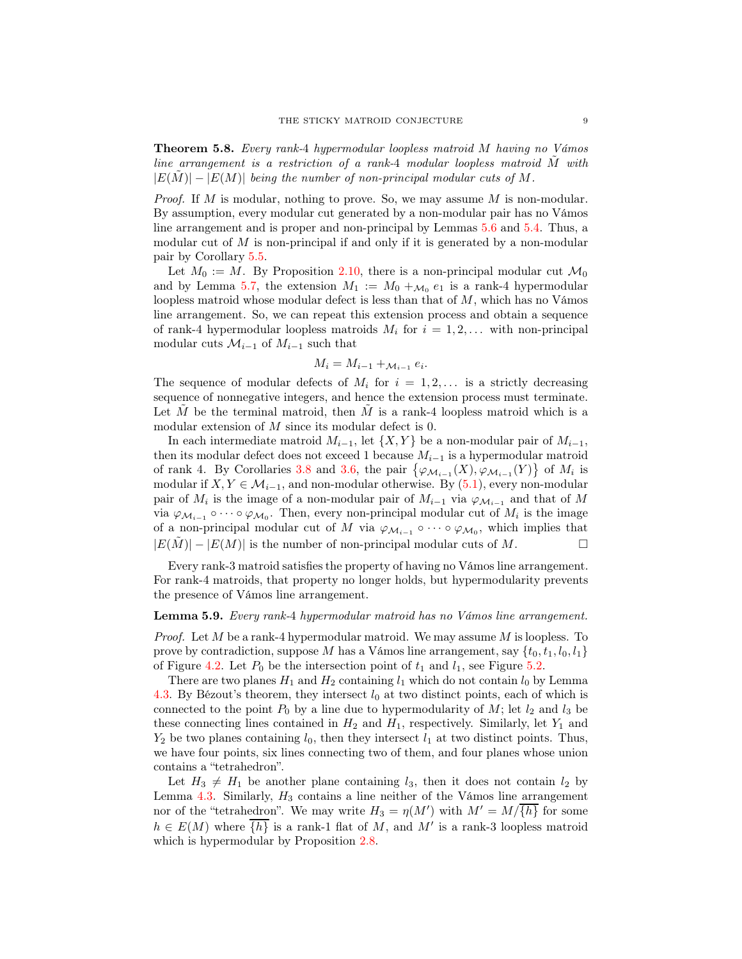<span id="page-8-1"></span>Theorem 5.8. Every rank-4 hypermodular loopless matroid M having no Vámos line arrangement is a restriction of a rank-4 modular loopless matroid  $\tilde{M}$  with  $|E(\tilde{M})| - |E(M)|$  being the number of non-principal modular cuts of M.

*Proof.* If M is modular, nothing to prove. So, we may assume M is non-modular. By assumption, every modular cut generated by a non-modular pair has no Vámos line arrangement and is proper and non-principal by Lemmas [5.6](#page-7-2) and [5.4.](#page-6-5) Thus, a modular cut of  $M$  is non-principal if and only if it is generated by a non-modular pair by Corollary [5.5.](#page-7-0)

Let  $M_0 := M$ . By Proposition [2.10,](#page-1-1) there is a non-principal modular cut  $\mathcal{M}_0$ and by Lemma [5.7,](#page-7-3) the extension  $M_1 := M_0 +_{\mathcal{M}_0} e_1$  is a rank-4 hypermodular loopless matroid whose modular defect is less than that of  $M$ , which has no Vámos line arrangement. So, we can repeat this extension process and obtain a sequence of rank-4 hypermodular loopless matroids  $M_i$  for  $i = 1, 2, \ldots$  with non-principal modular cuts  $\mathcal{M}_{i-1}$  of  $M_{i-1}$  such that

$$
M_i = M_{i-1} + \mathcal{M}_{i-1} e_i.
$$

The sequence of modular defects of  $M_i$  for  $i = 1, 2, \ldots$  is a strictly decreasing sequence of nonnegative integers, and hence the extension process must terminate. Let M be the terminal matroid, then M is a rank-4 loopless matroid which is a modular extension of M since its modular defect is 0.

In each intermediate matroid  $M_{i-1}$ , let  $\{X, Y\}$  be a non-modular pair of  $M_{i-1}$ , then its modular defect does not exceed 1 because  $M_{i-1}$  is a hypermodular matroid of rank 4. By Corollaries [3.8](#page-3-4) and [3.6,](#page-3-3) the pair  $\{\varphi_{\mathcal{M}_{i-1}}(X), \varphi_{\mathcal{M}_{i-1}}(Y)\}\$  of  $M_i$  is modular if  $X, Y \in \mathcal{M}_{i-1}$ , and non-modular otherwise. By [\(5.1\)](#page-7-1), every non-modular pair of  $M_i$  is the image of a non-modular pair of  $M_{i-1}$  via  $\varphi_{\mathcal{M}_{i-1}}$  and that of M via  $\varphi_{\mathcal{M}_{i-1}} \circ \cdots \circ \varphi_{\mathcal{M}_0}$ . Then, every non-principal modular cut of  $M_i$  is the image of a non-principal modular cut of M via  $\varphi_{\mathcal{M}_{i-1}} \circ \cdots \circ \varphi_{\mathcal{M}_0}$ , which implies that  $|E(M)| - |E(M)|$  is the number of non-principal modular cuts of M.

Every rank-3 matroid satisfies the property of having no Vámos line arrangement. For rank-4 matroids, that property no longer holds, but hypermodularity prevents the presence of Vámos line arrangement.

### <span id="page-8-0"></span>Lemma 5.9. Every rank-4 hypermodular matroid has no Vámos line arrangement.

*Proof.* Let M be a rank-4 hypermodular matroid. We may assume M is loopless. To prove by contradiction, suppose M has a Vámos line arrangement, say  $\{t_0, t_1, l_0, l_1\}$ of Figure [4.2.](#page-4-1) Let  $P_0$  be the intersection point of  $t_1$  and  $l_1$ , see Figure [5.2.](#page-9-0)

There are two planes  $H_1$  and  $H_2$  containing  $l_1$  which do not contain  $l_0$  by Lemma [4.3.](#page-4-3) By Bézout's theorem, they intersect  $l_0$  at two distinct points, each of which is connected to the point  $P_0$  by a line due to hypermodularity of M; let  $l_2$  and  $l_3$  be these connecting lines contained in  $H_2$  and  $H_1$ , respectively. Similarly, let  $Y_1$  and  $Y_2$  be two planes containing  $l_0$ , then they intersect  $l_1$  at two distinct points. Thus, we have four points, six lines connecting two of them, and four planes whose union contains a "tetrahedron".

Let  $H_3 \neq H_1$  be another plane containing  $l_3$ , then it does not contain  $l_2$  by Lemma  $4.3$ . Similarly,  $H_3$  contains a line neither of the Vámos line arrangement nor of the "tetrahedron". We may write  $H_3 = \eta(M')$  with  $M' = M/\overline{\{h\}}$  for some  $h \in E(M)$  where  $\overline{\{h\}}$  is a rank-1 flat of M, and M' is a rank-3 loopless matroid which is hypermodular by Proposition [2.8.](#page-1-5)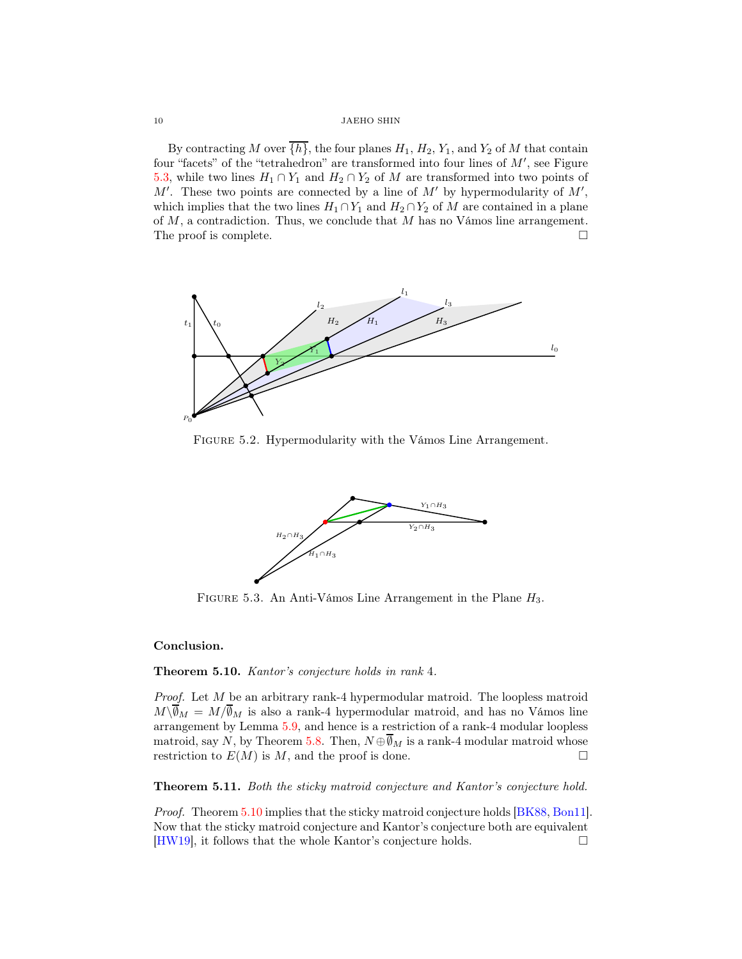<span id="page-9-3"></span>10 JAEHO SHIN

By contracting M over  $\overline{\{h\}}$ , the four planes  $H_1, H_2, Y_1$ , and  $Y_2$  of M that contain four "facets" of the "tetrahedron" are transformed into four lines of  $M'$ , see Figure [5.3,](#page-9-1) while two lines  $H_1 \cap Y_1$  and  $H_2 \cap Y_2$  of M are transformed into two points of  $M'$ . These two points are connected by a line of  $M'$  by hypermodularity of  $M'$ , which implies that the two lines  $H_1 \cap Y_1$  and  $H_2 \cap Y_2$  of M are contained in a plane of  $M$ , a contradiction. Thus, we conclude that  $M$  has no Vámos line arrangement. The proof is complete.



FIGURE 5.2. Hypermodularity with the Vámos Line Arrangement.

<span id="page-9-0"></span>

<span id="page-9-1"></span>FIGURE 5.3. An Anti-Vámos Line Arrangement in the Plane  $H_3$ .

## Conclusion.

## <span id="page-9-2"></span>Theorem 5.10. Kantor's conjecture holds in rank 4.

Proof. Let M be an arbitrary rank-4 hypermodular matroid. The loopless matroid  $M\setminus\overline{\emptyset}_M = M/\overline{\emptyset}_M$  is also a rank-4 hypermodular matroid, and has no Vámos line arrangement by Lemma [5.9,](#page-8-0) and hence is a restriction of a rank-4 modular loopless matroid, say N, by Theorem [5.8.](#page-8-1) Then,  $N \oplus \overline{\emptyset}_M$  is a rank-4 modular matroid whose restriction to  $E(M)$  is M, and the proof is done.

Theorem 5.11. Both the sticky matroid conjecture and Kantor's conjecture hold.

Proof. Theorem [5.10](#page-9-2) implies that the sticky matroid conjecture holds [\[BK88,](#page-10-3) [Bon11\]](#page-10-1). Now that the sticky matroid conjecture and Kantor's conjecture both are equivalent [\[HW19\]](#page-10-4), it follows that the whole Kantor's conjecture holds.